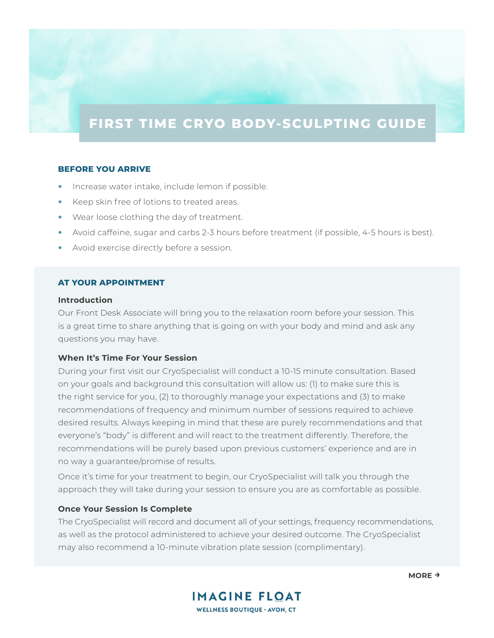# **FIRST TIME CRYO BODY-SCULPTING GUIDE**

## **BEFORE YOU ARRIVE**

- Increase water intake, include lemon if possible.
- Keep skin free of lotions to treated areas.
- Wear loose clothing the day of treatment.
- Avoid caffeine, sugar and carbs 2-3 hours before treatment (if possible, 4-5 hours is best).
- Avoid exercise directly before a session.

## **AT YOUR APPOINTMENT**

#### **Introduction**

Our Front Desk Associate will bring you to the relaxation room before your session. This is a great time to share anything that is going on with your body and mind and ask any questions you may have.

# **When It's Time For Your Session**

During your first visit our CryoSpecialist will conduct a 10-15 minute consultation. Based on your goals and background this consultation will allow us: (1) to make sure this is the right service for you, (2) to thoroughly manage your expectations and (3) to make recommendations of frequency and minimum number of sessions required to achieve desired results. Always keeping in mind that these are purely recommendations and that everyone's "body" is different and will react to the treatment differently. Therefore, the recommendations will be purely based upon previous customers' experience and are in no way a guarantee/promise of results.

Once it's time for your treatment to begin, our CryoSpecialist will talk you through the approach they will take during your session to ensure you are as comfortable as possible.

### **Once Your Session Is Complete**

The CryoSpecialist will record and document all of your settings, frequency recommendations, as well as the protocol administered to achieve your desired outcome. The CryoSpecialist may also recommend a 10-minute vibration plate session (complimentary).